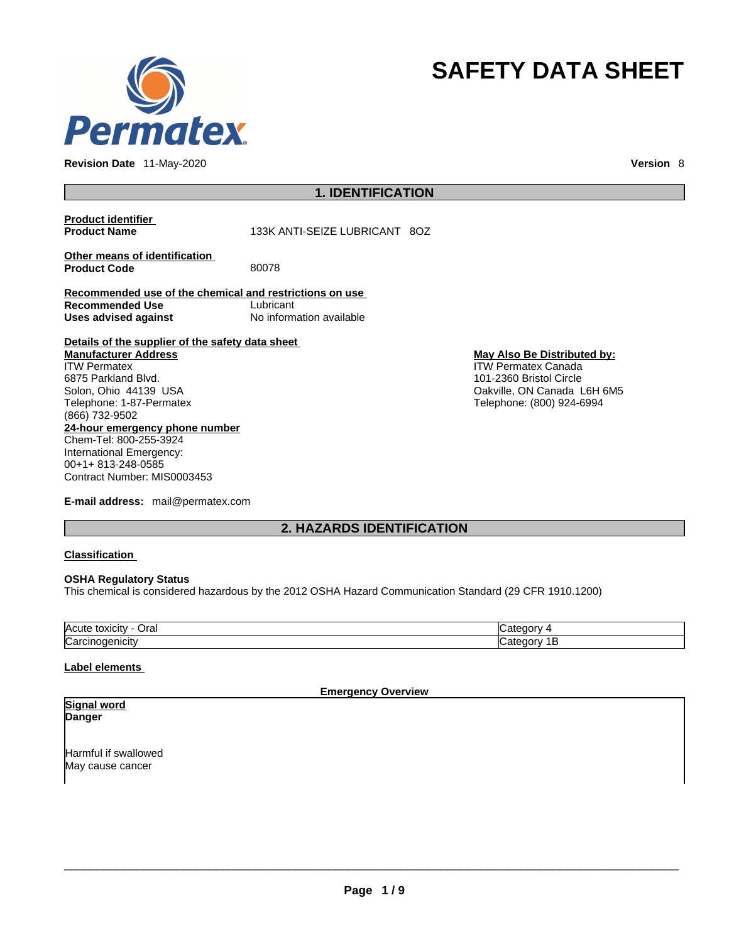

**Revision Date** 11-May-2020 **Version** 8

# **SAFETY DATA SHEET**

## **1. IDENTIFICATION**

**Product identifier**

**Product Name** 133K ANTI-SEIZE LUBRICANT 8OZ

**Other means of identification**<br>**Product Code** 80078 **Product Code** 

**Recommended use of the chemical and restrictions on use Recommended Use** Lubricant **Uses advised against** No information available

**Details of the supplier of the safety data sheet Manufacturer Address** ITW Permatex

**24-hour emergency phone number** Chem-Tel: 800-255-3924 International Emergency: 00+1+ 813-248-0585 6875 Parkland Blvd. Solon, Ohio 44139 USA Telephone: 1-87-Permatex (866) 732-9502

Contract Number: MIS0003453

**E-mail address:** mail@permatex.com

**May Also Be Distributed by:** ITW Permatex Canada

101-2360 Bristol Circle Oakville, ON Canada L6H 6M5 Telephone: (800) 924-6994

**2. HAZARDS IDENTIFICATION** 

## **Classification**

## **OSHA Regulatory Status**

This chemical is considered hazardous by the 2012 OSHA Hazard Communication Standard (29 CFR 1910.1200)

| <b>Acute</b><br>⊃ral |  |
|----------------------|--|
| ∽<br>-               |  |

## **Label elements**

**Emergency Overview** 

### **Signal word Danger**

Harmful if swallowed May cause cancer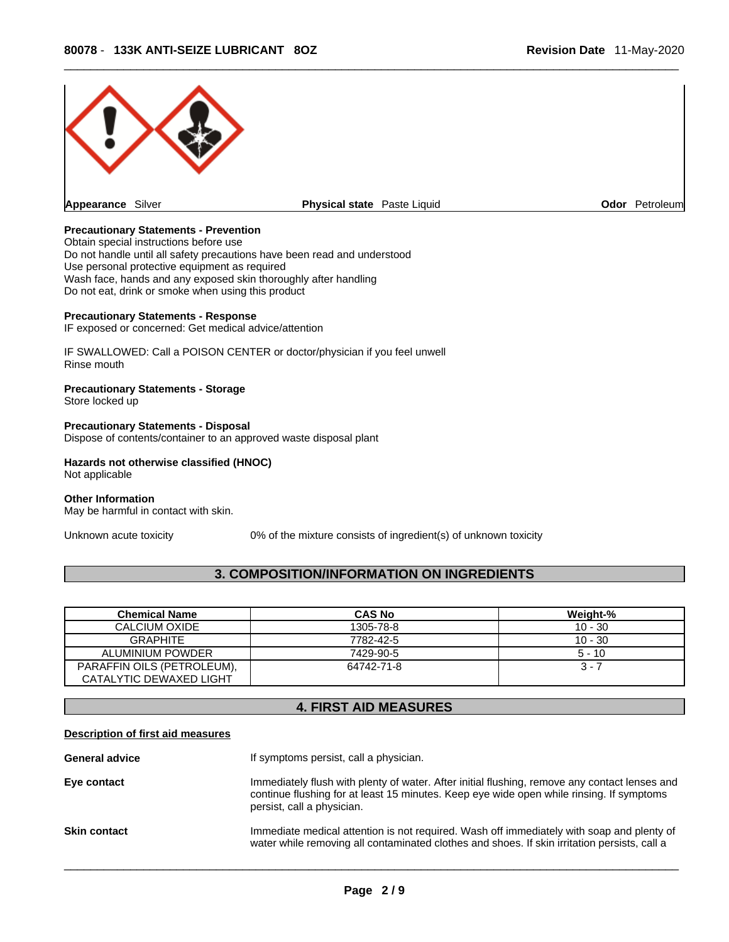

## **Precautionary Statements - Prevention**

Obtain special instructions before use Do not handle until all safety precautions have been read and understood Use personal protective equipment as required Wash face, hands and any exposed skin thoroughly after handling Do not eat, drink or smoke when using this product

#### **Precautionary Statements - Response**

IF exposed or concerned: Get medical advice/attention

IF SWALLOWED: Call a POISON CENTER or doctor/physician if you feel unwell Rinse mouth

## **Precautionary Statements - Storage**

Store locked up

**Precautionary Statements - Disposal** Dispose of contents/container to an approved waste disposal plant

#### **Hazards not otherwise classified (HNOC)**  Not applicable

**Other Information** 

May be harmful in contact with skin.

Unknown acute toxicity 0% of the mixture consists of ingredient(s) of unknown toxicity

## **3. COMPOSITION/INFORMATION ON INGREDIENTS**

| <b>Chemical Name</b>       | <b>CAS No</b> | Weight-%  |
|----------------------------|---------------|-----------|
| CALCIUM OXIDE              | 1305-78-8     | $10 - 30$ |
| GRAPHITE                   | 7782-42-5     | $10 - 30$ |
| ALUMINIUM POWDER           | 7429-90-5     | $5 - 10$  |
| PARAFFIN OILS (PETROLEUM), | 64742-71-8    | $3 - 7$   |
| CATALYTIC DEWAXED LIGHT    |               |           |

# **4. FIRST AID MEASURES**

## **Description of first aid measures**

| <b>General advice</b> | If symptoms persist, call a physician.                                                                                                                                                                                  |
|-----------------------|-------------------------------------------------------------------------------------------------------------------------------------------------------------------------------------------------------------------------|
| Eye contact           | Immediately flush with plenty of water. After initial flushing, remove any contact lenses and<br>continue flushing for at least 15 minutes. Keep eye wide open while rinsing. If symptoms<br>persist, call a physician. |
| <b>Skin contact</b>   | Immediate medical attention is not required. Wash off immediately with soap and plenty of<br>water while removing all contaminated clothes and shoes. If skin irritation persists, call a                               |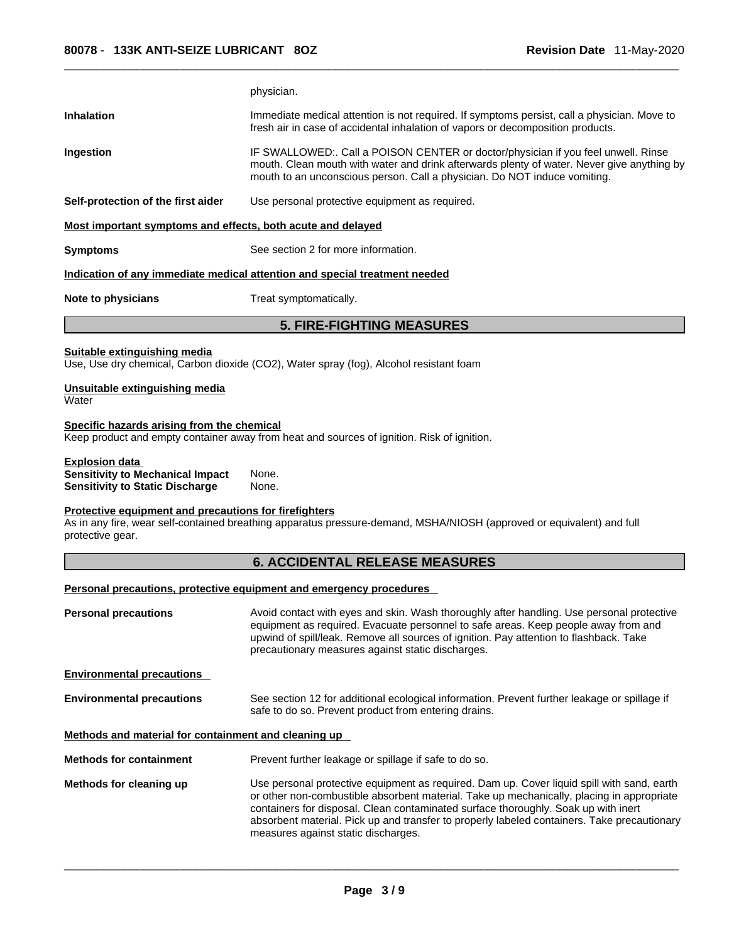|                                                                                                                     | physician.                                                                                                                                                                                                                                                                                                                     |
|---------------------------------------------------------------------------------------------------------------------|--------------------------------------------------------------------------------------------------------------------------------------------------------------------------------------------------------------------------------------------------------------------------------------------------------------------------------|
| <b>Inhalation</b>                                                                                                   | Immediate medical attention is not required. If symptoms persist, call a physician. Move to<br>fresh air in case of accidental inhalation of vapors or decomposition products.                                                                                                                                                 |
| <b>Ingestion</b>                                                                                                    | IF SWALLOWED:. Call a POISON CENTER or doctor/physician if you feel unwell. Rinse<br>mouth. Clean mouth with water and drink afterwards plenty of water. Never give anything by<br>mouth to an unconscious person. Call a physician. Do NOT induce vomiting.                                                                   |
| Self-protection of the first aider                                                                                  | Use personal protective equipment as required.                                                                                                                                                                                                                                                                                 |
| Most important symptoms and effects, both acute and delayed                                                         |                                                                                                                                                                                                                                                                                                                                |
| <b>Symptoms</b>                                                                                                     | See section 2 for more information.                                                                                                                                                                                                                                                                                            |
|                                                                                                                     | Indication of any immediate medical attention and special treatment needed                                                                                                                                                                                                                                                     |
| Note to physicians                                                                                                  | Treat symptomatically.                                                                                                                                                                                                                                                                                                         |
|                                                                                                                     | <b>5. FIRE-FIGHTING MEASURES</b>                                                                                                                                                                                                                                                                                               |
| <b>Suitable extinguishing media</b>                                                                                 | Use, Use dry chemical, Carbon dioxide (CO2), Water spray (fog), Alcohol resistant foam                                                                                                                                                                                                                                         |
| Unsuitable extinguishing media<br>Water                                                                             |                                                                                                                                                                                                                                                                                                                                |
| Specific hazards arising from the chemical                                                                          | Keep product and empty container away from heat and sources of ignition. Risk of ignition.                                                                                                                                                                                                                                     |
| <b>Explosion data</b>                                                                                               |                                                                                                                                                                                                                                                                                                                                |
| <b>Sensitivity to Mechanical Impact</b>                                                                             | None.                                                                                                                                                                                                                                                                                                                          |
|                                                                                                                     | None.                                                                                                                                                                                                                                                                                                                          |
| <b>Sensitivity to Static Discharge</b><br>Protective equipment and precautions for firefighters<br>protective gear. | As in any fire, wear self-contained breathing apparatus pressure-demand, MSHA/NIOSH (approved or equivalent) and full                                                                                                                                                                                                          |
|                                                                                                                     | <b>6. ACCIDENTAL RELEASE MEASURES</b>                                                                                                                                                                                                                                                                                          |
|                                                                                                                     | Personal precautions, protective equipment and emergency procedures                                                                                                                                                                                                                                                            |
| <b>Personal precautions</b>                                                                                         | Avoid contact with eyes and skin. Wash thoroughly after handling. Use personal protective<br>equipment as required. Evacuate personnel to safe areas. Keep people away from and<br>upwind of spill/leak. Remove all sources of ignition. Pay attention to flashback. Take<br>precautionary measures against static discharges. |
|                                                                                                                     |                                                                                                                                                                                                                                                                                                                                |
| <b>Environmental precautions</b><br><b>Environmental precautions</b>                                                | See section 12 for additional ecological information. Prevent further leakage or spillage if<br>safe to do so. Prevent product from entering drains.                                                                                                                                                                           |
| Methods and material for containment and cleaning up                                                                |                                                                                                                                                                                                                                                                                                                                |
| <b>Methods for containment</b>                                                                                      | Prevent further leakage or spillage if safe to do so.                                                                                                                                                                                                                                                                          |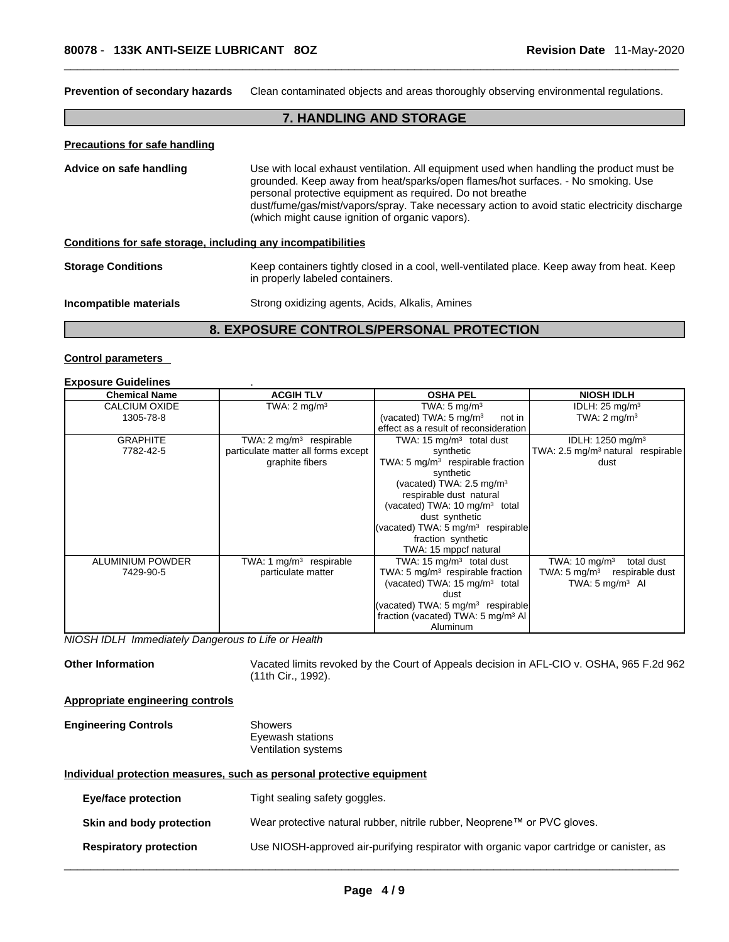**Prevention of secondary hazards** Clean contaminated objects and areas thoroughly observing environmental regulations.

## **7. HANDLING AND STORAGE**

#### **Precautions for safe handling**

**Advice on safe handling** Use with local exhaust ventilation. All equipment used when handling the productmust be grounded. Keep away from heat/sparks/open flames/hot surfaces. - No smoking. Use personal protective equipment as required.Do not breathe dust/fume/gas/mist/vapors/spray. Take necessary action to avoid static electricity discharge (which might cause ignition of organic vapors).

## **Conditions for safe storage, including any incompatibilities**

**Storage Conditions** Keep containers tightly closed in a cool, well-ventilated place. Keep away from heat. Keep in properly labeled containers.

#### **Incompatible materials** Strong oxidizing agents, Acids, Alkalis, Amines

## **8. EXPOSURE CONTROLS/PERSONAL PROTECTION**

## **Control parameters Exposure Guidelines** .

| <b>EXPOSURE GUIGENMES</b> |                                     |                                                |                                              |
|---------------------------|-------------------------------------|------------------------------------------------|----------------------------------------------|
| <b>Chemical Name</b>      | <b>ACGIH TLV</b>                    | <b>OSHA PEL</b>                                | <b>NIOSH IDLH</b>                            |
| CALCIUM OXIDE             | TWA: $2 \text{ mq/m}^3$             | TWA: $5 \text{ mg/m}^3$                        | IDLH: $25 \text{ mg/m}^3$                    |
| 1305-78-8                 |                                     | (vacated) TWA: $5 \text{ mg/m}^3$<br>not in    | TWA: $2 \text{ mg/m}^3$                      |
|                           |                                     | effect as a result of reconsideration          |                                              |
| <b>GRAPHITE</b>           | TWA: $2 \text{ mg/m}^3$ respirable  | TWA: 15 $mq/m3$ total dust                     | IDLH: 1250 mg/m <sup>3</sup>                 |
| 7782-42-5                 | particulate matter all forms except | synthetic                                      | TWA: $2.5 \text{ mg/m}^3$ natural respirable |
|                           | graphite fibers                     | TWA: 5 $mg/m3$ respirable fraction             | dust                                         |
|                           |                                     | synthetic                                      |                                              |
|                           |                                     | (vacated) TWA: $2.5 \text{ mg/m}^3$            |                                              |
|                           |                                     | respirable dust natural                        |                                              |
|                           |                                     | (vacated) TWA: 10 mg/m <sup>3</sup> total      |                                              |
|                           |                                     | dust synthetic                                 |                                              |
|                           |                                     | (vacated) TWA: 5 mg/m <sup>3</sup> respirable  |                                              |
|                           |                                     | fraction synthetic                             |                                              |
|                           |                                     | TWA: 15 mppcf natural                          |                                              |
| <b>ALUMINIUM POWDER</b>   | TWA: 1 $mg/m3$ respirable           | TWA: 15 $mq/m3$ total dust                     | TWA: $10 \text{ mg/m}^3$<br>total dust       |
| 7429-90-5                 | particulate matter                  | TWA: 5 $mg/m3$ respirable fraction             | TWA: $5 \text{ mg/m}^3$ respirable dust      |
|                           |                                     | (vacated) TWA: $15 \text{ mg/m}^3$ total       | TWA: $5 \text{ mg/m}^3$ AI                   |
|                           |                                     | dust                                           |                                              |
|                           |                                     | (vacated) TWA: 5 mg/m <sup>3</sup> respirable  |                                              |
|                           |                                     | fraction (vacated) TWA: 5 mg/m <sup>3</sup> Al |                                              |
|                           |                                     | Aluminum                                       |                                              |

*NIOSH IDLH Immediately Dangerous to Life or Health* 

**Other Information** Vacated limits revoked by the Court of Appeals decision in AFL-CIO v.OSHA, 965 F.2d 962 (11th Cir., 1992).

#### **Appropriate engineering controls**

#### **Engineering Controls** Showers Eyewash stations Ventilation systems

### **Individual protection measures, such as personal protective equipment**

| <b>Eye/face protection</b>    | Tight sealing safety goggles.                                                            |
|-------------------------------|------------------------------------------------------------------------------------------|
| Skin and body protection      | Wear protective natural rubber, nitrile rubber, Neoprene™ or PVC gloves.                 |
| <b>Respiratory protection</b> | Use NIOSH-approved air-purifying respirator with organic vapor cartridge or canister, as |
|                               |                                                                                          |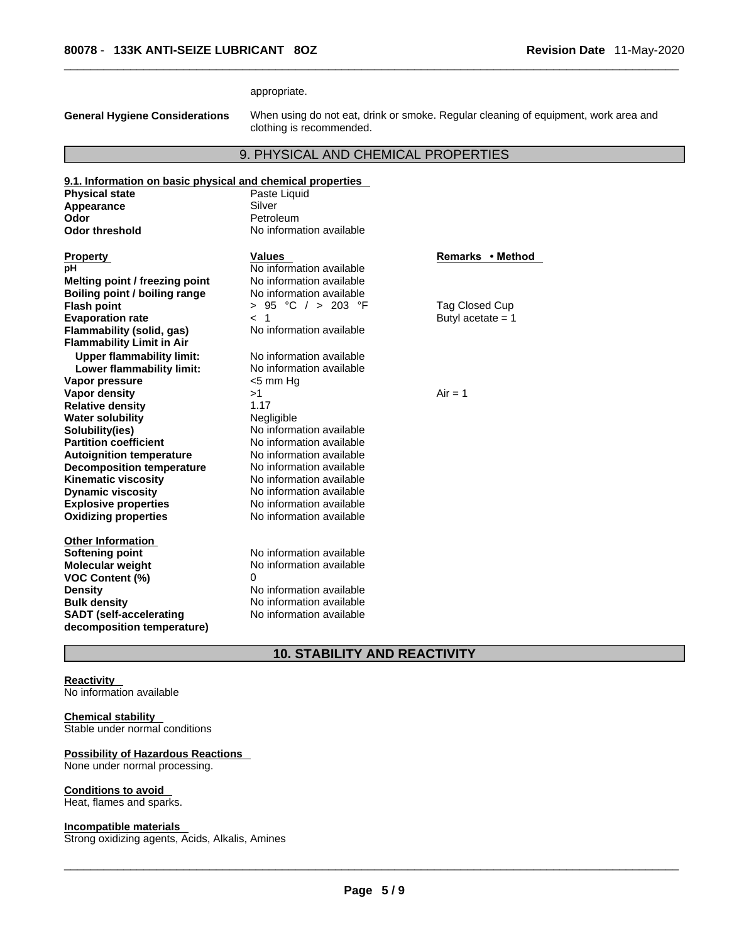appropriate.

**General Hygiene Considerations** When using do not eat, drink or smoke. Regular cleaning of equipment, work area and clothing is recommended.

## 9. PHYSICAL AND CHEMICAL PROPERTIES

| 9.1. Information on basic physical and chemical properties |                          |                     |
|------------------------------------------------------------|--------------------------|---------------------|
| <b>Physical state</b>                                      | Paste Liquid             |                     |
| Appearance                                                 | Silver                   |                     |
| Odor                                                       | Petroleum                |                     |
| <b>Odor threshold</b>                                      | No information available |                     |
|                                                            |                          |                     |
| <b>Property</b>                                            | <b>Values</b>            | Remarks • Method    |
| рH                                                         | No information available |                     |
| Melting point / freezing point                             | No information available |                     |
| Boiling point / boiling range                              | No information available |                     |
| <b>Flash point</b>                                         | > 95 °C / > 203 °F       | Tag Closed Cup      |
| <b>Evaporation rate</b>                                    | < 1                      | Butyl acetate $= 1$ |
| Flammability (solid, gas)                                  | No information available |                     |
| <b>Flammability Limit in Air</b>                           |                          |                     |
| <b>Upper flammability limit:</b>                           | No information available |                     |
| Lower flammability limit:                                  | No information available |                     |
| Vapor pressure                                             | $<$ 5 mm Hg              |                     |
| Vapor density                                              | >1                       | $Air = 1$           |
| <b>Relative density</b>                                    | 1.17                     |                     |
| <b>Water solubility</b>                                    | Negligible               |                     |
| Solubility(ies)                                            | No information available |                     |
| <b>Partition coefficient</b>                               | No information available |                     |
| <b>Autoignition temperature</b>                            | No information available |                     |
| <b>Decomposition temperature</b>                           | No information available |                     |
| <b>Kinematic viscosity</b>                                 | No information available |                     |
| <b>Dynamic viscosity</b>                                   | No information available |                     |
| <b>Explosive properties</b>                                | No information available |                     |
| <b>Oxidizing properties</b>                                | No information available |                     |
|                                                            |                          |                     |
| <b>Other Information</b>                                   |                          |                     |
| <b>Softening point</b>                                     | No information available |                     |
| <b>Molecular weight</b>                                    | No information available |                     |
| <b>VOC Content (%)</b>                                     | $\Omega$                 |                     |
| <b>Density</b>                                             | No information available |                     |
| <b>Bulk density</b>                                        | No information available |                     |
| <b>SADT</b> (self-accelerating                             | No information available |                     |
| decomposition temperature)                                 |                          |                     |
|                                                            |                          |                     |

# **10. STABILITY AND REACTIVITY**

## **Reactivity**

No information available

## **Chemical stability**

Stable under normal conditions

## **Possibility of Hazardous Reactions**

None under normal processing.

#### **Conditions to avoid**

Heat, flames and sparks.

## **Incompatible materials**

Strong oxidizing agents, Acids, Alkalis, Amines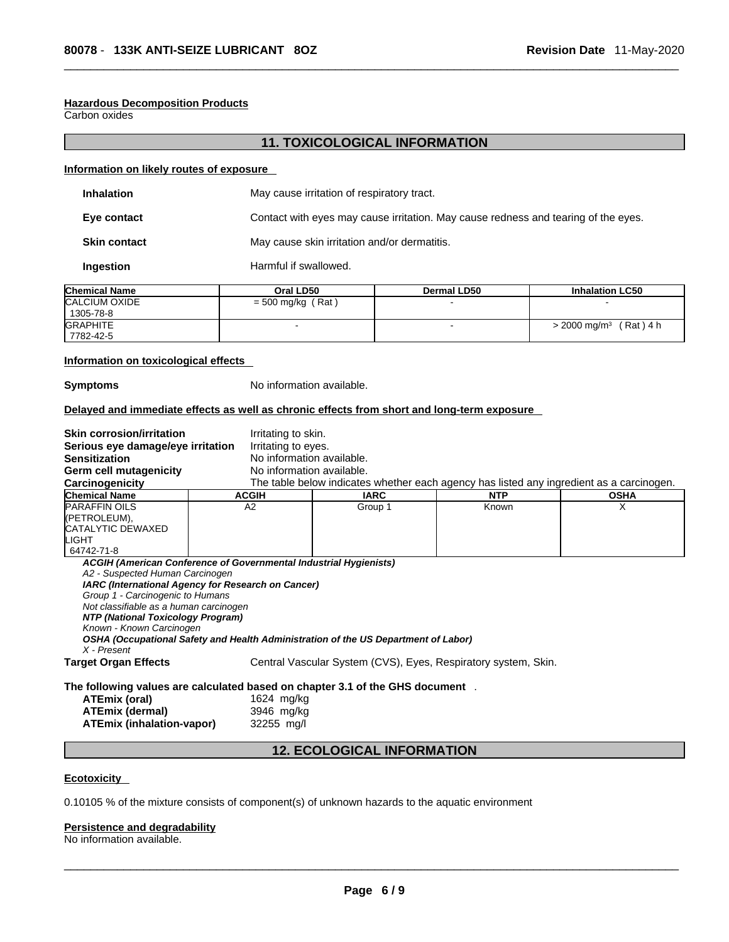## **Hazardous Decomposition Products**

Carbon oxides

## **11. TOXICOLOGICAL INFORMATION**

### **Information on likely routes of exposure**

| <b>Inhalation</b>   | May cause irritation of respiratory tract.                                         |
|---------------------|------------------------------------------------------------------------------------|
| Eye contact         | Contact with eyes may cause irritation. May cause redness and tearing of the eyes. |
| <b>Skin contact</b> | May cause skin irritation and/or dermatitis.                                       |
| Ingestion           | Harmful if swallowed.                                                              |

| <b>Chemical Name</b> | Oral LD50             | <b>Dermal LD50</b> | <b>Inhalation LC50</b>                |  |
|----------------------|-----------------------|--------------------|---------------------------------------|--|
| CALCIUM OXIDE        | (Rat<br>$= 500$ mg/kg |                    |                                       |  |
| 1305-78-8            |                       |                    |                                       |  |
| <b>GRAPHITE</b>      |                       |                    | (Rat) 4 h<br>> 2000 mg/m <sup>3</sup> |  |
| 7782-42-5            |                       |                    |                                       |  |

## **Information on toxicological effects**

**Symptoms** No information available.

## **Delayed and immediate effects as well as chronic effects from short and long-term exposure**

| <b>Skin corrosion/irritation</b>       | Irritating to skin.                                                                |             |                                                                                          |             |
|----------------------------------------|------------------------------------------------------------------------------------|-------------|------------------------------------------------------------------------------------------|-------------|
| Serious eye damage/eye irritation      | Irritating to eyes.                                                                |             |                                                                                          |             |
| <b>Sensitization</b>                   | No information available.                                                          |             |                                                                                          |             |
| Germ cell mutagenicity                 | No information available.                                                          |             |                                                                                          |             |
| Carcinogenicity                        |                                                                                    |             | The table below indicates whether each agency has listed any ingredient as a carcinogen. |             |
| <b>Chemical Name</b>                   | <b>ACGIH</b>                                                                       | <b>IARC</b> | <b>NTP</b>                                                                               | <b>OSHA</b> |
| <b>PARAFFIN OILS</b>                   | A2                                                                                 | Group 1     | Known                                                                                    | X           |
| ((PETROLEUM),                          |                                                                                    |             |                                                                                          |             |
| <b>CATALYTIC DEWAXED</b>               |                                                                                    |             |                                                                                          |             |
| LIGHT                                  |                                                                                    |             |                                                                                          |             |
| 64742-71-8                             |                                                                                    |             |                                                                                          |             |
|                                        | ACGIH (American Conference of Governmental Industrial Hygienists)                  |             |                                                                                          |             |
| A2 - Suspected Human Carcinogen        |                                                                                    |             |                                                                                          |             |
|                                        | IARC (International Agency for Research on Cancer)                                 |             |                                                                                          |             |
| Group 1 - Carcinogenic to Humans       |                                                                                    |             |                                                                                          |             |
| Not classifiable as a human carcinogen |                                                                                    |             |                                                                                          |             |
| NTP (National Toxicology Program)      |                                                                                    |             |                                                                                          |             |
| Known - Known Carcinogen               |                                                                                    |             |                                                                                          |             |
| X - Present                            | OSHA (Occupational Safety and Health Administration of the US Department of Labor) |             |                                                                                          |             |
| <b>Target Organ Effects</b>            |                                                                                    |             | Central Vascular System (CVS), Eyes, Respiratory system, Skin.                           |             |
|                                        |                                                                                    |             |                                                                                          |             |
|                                        | The following values are calculated based on chapter 3.1 of the GHS document .     |             |                                                                                          |             |
| <b>ATEmix (oral)</b>                   | 1624 mg/kg                                                                         |             |                                                                                          |             |

| ALLINA (VIGI)                    | $102 - 1119119$ |
|----------------------------------|-----------------|
| ATEmix (dermal)                  | 3946 mg/kg      |
| <b>ATEmix (inhalation-vapor)</b> | 32255 mg/l      |

# **12. ECOLOGICAL INFORMATION**

## **Ecotoxicity**

0.10105 % of the mixture consists of component(s) of unknown hazards to the aquatic environment

## **Persistence and degradability**

No information available.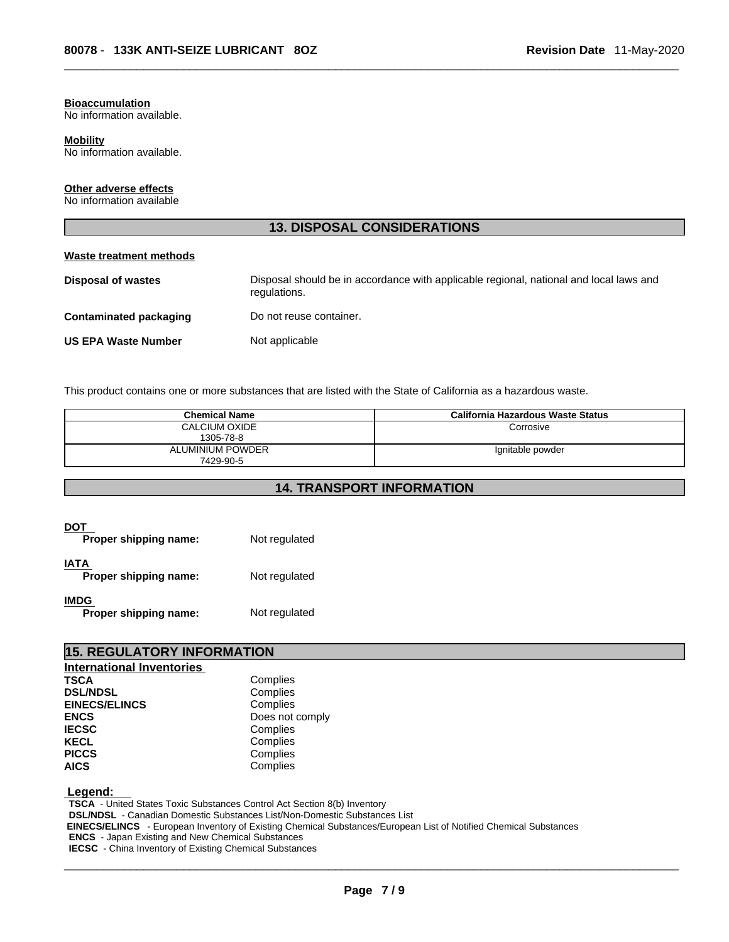#### **Bioaccumulation**

No information available.

#### **Mobility**

No information available.

## **Other adverse effects**

No information available

## **13. DISPOSAL CONSIDERATIONS**

## **Waste treatment methods**

| <b>Disposal of wastes</b>  | Disposal should be in accordance with applicable regional, national and local laws and<br>regulations. |
|----------------------------|--------------------------------------------------------------------------------------------------------|
| Contaminated packaging     | Do not reuse container.                                                                                |
| <b>US EPA Waste Number</b> | Not applicable                                                                                         |

This product contains one or more substances that are listed with the State of California as a hazardous waste.

| <b>Chemical Name</b> | California Hazardous Waste Status |
|----------------------|-----------------------------------|
| CALCIUM OXIDE        | Corrosive                         |
| 1305-78-8            |                                   |
| ALUMINIUM POWDER     | Ignitable powder                  |
| 7429-90-5            |                                   |

## **14. TRANSPORT INFORMATION**

| DOT<br>Proper shipping name:         | Not regulated |
|--------------------------------------|---------------|
| IATA<br>Proper shipping name:        | Not regulated |
| <b>IMDG</b><br>Proper shipping name: | Not regulated |

| <b>15. REGULATORY INFORMATION</b> |                 |  |  |  |
|-----------------------------------|-----------------|--|--|--|
| <b>International Inventories</b>  |                 |  |  |  |
| <b>TSCA</b>                       | Complies        |  |  |  |
| <b>DSL/NDSL</b>                   | Complies        |  |  |  |
| <b>EINECS/ELINCS</b>              | Complies        |  |  |  |
| <b>ENCS</b>                       | Does not comply |  |  |  |
| <b>IECSC</b>                      | Complies        |  |  |  |
| <b>KECL</b>                       | Complies        |  |  |  |
| <b>PICCS</b>                      | Complies        |  |  |  |
| <b>AICS</b>                       | Complies        |  |  |  |

## **Legend:**

**TSCA** - United States Toxic Substances Control Act Section 8(b) Inventory **DSL/NDSL** - Canadian Domestic Substances List/Non-Domestic Substances List  **EINECS/ELINCS** - European Inventory of Existing Chemical Substances/European List of Notified Chemical Substances **ENCS** - Japan Existing and New Chemical Substances **IECSC** - China Inventory of Existing Chemical Substances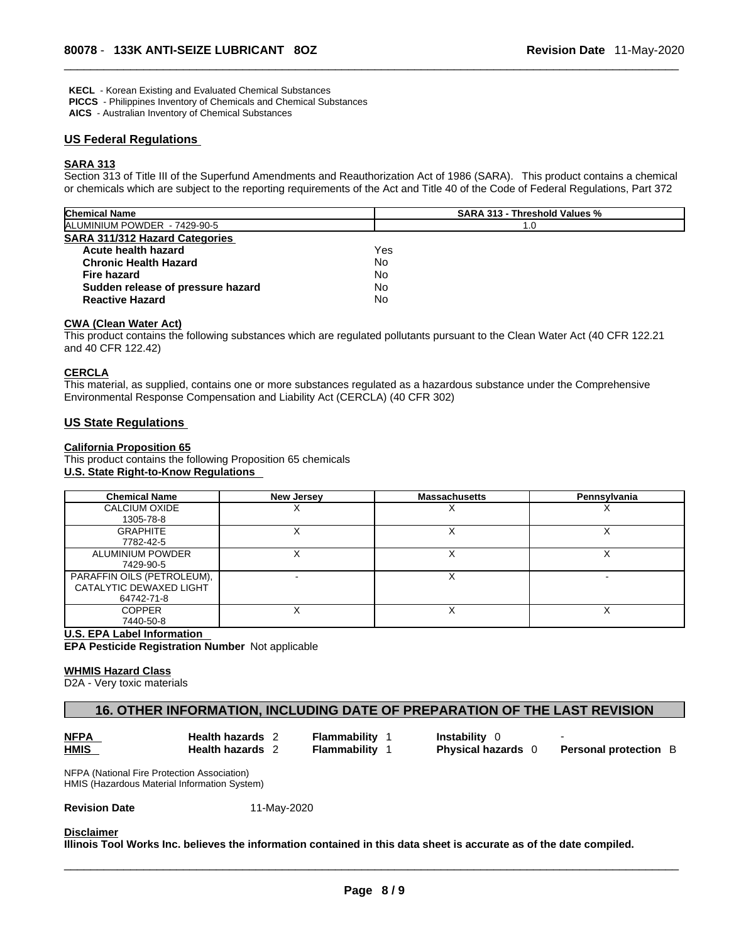**KECL** - Korean Existing and Evaluated Chemical Substances

**PICCS** - Philippines Inventory of Chemicals and Chemical Substances

**AICS** - Australian Inventory of Chemical Substances

## **US Federal Regulations**

## **SARA 313**

Section 313 of Title III of the Superfund Amendments and Reauthorization Act of 1986 (SARA). This product contains a chemical or chemicals which are subject to the reporting requirements of the Act and Title 40 of the Code of Federal Regulations, Part 372

| <b>Chemical Name</b>                  | <b>SARA 313 - Threshold Values %</b> |  |  |
|---------------------------------------|--------------------------------------|--|--|
| ALUMINIUM POWDER - 7429-90-5          | 1.0                                  |  |  |
| <b>SARA 311/312 Hazard Categories</b> |                                      |  |  |
| Acute health hazard                   | Yes                                  |  |  |
| <b>Chronic Health Hazard</b>          | No                                   |  |  |
| Fire hazard                           | No                                   |  |  |
| Sudden release of pressure hazard     | No                                   |  |  |
| <b>Reactive Hazard</b>                | No                                   |  |  |

## **CWA (Clean WaterAct)**

This product contains the following substances which are regulated pollutants pursuant to the Clean Water Act (40 CFR 122.21 and 40 CFR 122.42)

#### **CERCLA**

This material, as supplied, contains one or more substances regulated as a hazardous substance under the Comprehensive Environmental Response Compensation and Liability Act (CERCLA) (40 CFR 302)

## **US State Regulations**

## **California Proposition 65**

This product contains the following Proposition 65 chemicals **U.S. State Right-to-Know Regulations** 

| <b>Chemical Name</b>       | <b>New Jersey</b> | <b>Massachusetts</b> | Pennsylvania |
|----------------------------|-------------------|----------------------|--------------|
| CALCIUM OXIDE              |                   |                      |              |
| 1305-78-8                  |                   |                      |              |
| <b>GRAPHITE</b>            |                   | ↗                    |              |
| 7782-42-5                  |                   |                      |              |
| ALUMINIUM POWDER           |                   |                      |              |
| 7429-90-5                  |                   |                      |              |
| PARAFFIN OILS (PETROLEUM), |                   |                      |              |
| CATALYTIC DEWAXED LIGHT    |                   |                      |              |
| 64742-71-8                 |                   |                      |              |
| <b>COPPER</b>              |                   |                      |              |
| 7440-50-8                  |                   |                      |              |

#### **U.S. EPA Label Information**

**EPA Pesticide Registration Number** Not applicable

#### **WHMIS Hazard Class**

D2A - Very toxic materials

## **16. OTHER INFORMATION, INCLUDING DATE OF PREPARATION OF THE LAST REVISION**

**Health hazards 2 - Flammability 1 - Instability 0**<br> **Health hazards 2 - Flammability 1 - Physical haz** 

**Flammability 1 Physical hazards** 0

**Personal protection** B

NFPA (National Fire Protection Association) HMIS (Hazardous Material Information System)

## **Revision Date** 11-May-2020

#### **Disclaimer**

Illinois Tool Works Inc. believes the information contained in this data sheet is accurate as of the date compiled.